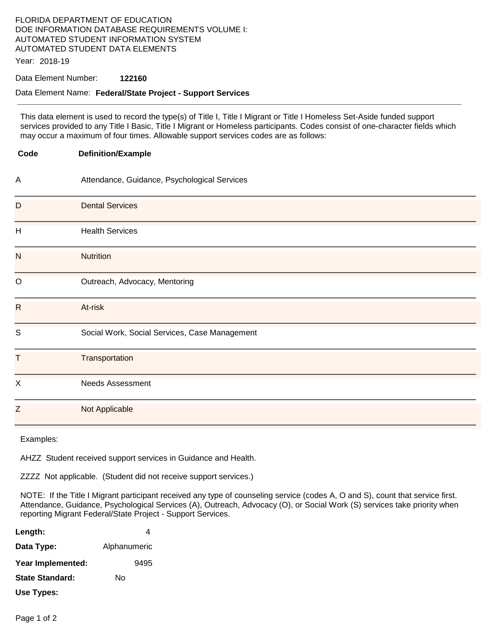## FLORIDA DEPARTMENT OF EDUCATION DOE INFORMATION DATABASE REQUIREMENTS VOLUME I: AUTOMATED STUDENT INFORMATION SYSTEM AUTOMATED STUDENT DATA ELEMENTS

Year: 2018-19

#### Data Element Number: **122160**

#### Data Element Name: **Federal/State Project - Support Services**

This data element is used to record the type(s) of Title I, Title I Migrant or Title I Homeless Set-Aside funded support services provided to any Title I Basic, Title I Migrant or Homeless participants. Codes consist of one-character fields which may occur a maximum of four times. Allowable support services codes are as follows:

| Code         | <b>Definition/Example</b>                     |
|--------------|-----------------------------------------------|
| А            | Attendance, Guidance, Psychological Services  |
| D            | <b>Dental Services</b>                        |
| H            | <b>Health Services</b>                        |
| N            | <b>Nutrition</b>                              |
| $\mathsf O$  | Outreach, Advocacy, Mentoring                 |
| $\mathsf{R}$ | At-risk                                       |
| S            | Social Work, Social Services, Case Management |
| T            | Transportation                                |
| X            | <b>Needs Assessment</b>                       |
| Z            | Not Applicable                                |

Examples:

AHZZ Student received support services in Guidance and Health.

ZZZZ Not applicable. (Student did not receive support services.)

NOTE: If the Title I Migrant participant received any type of counseling service (codes A, O and S), count that service first. Attendance, Guidance, Psychological Services (A), Outreach, Advocacy (O), or Social Work (S) services take priority when reporting Migrant Federal/State Project - Support Services.

| Length:           | 4            |
|-------------------|--------------|
| Data Type:        | Alphanumeric |
| Year Implemented: | 9495         |
| State Standard:   | N٥           |
| Use Types:        |              |